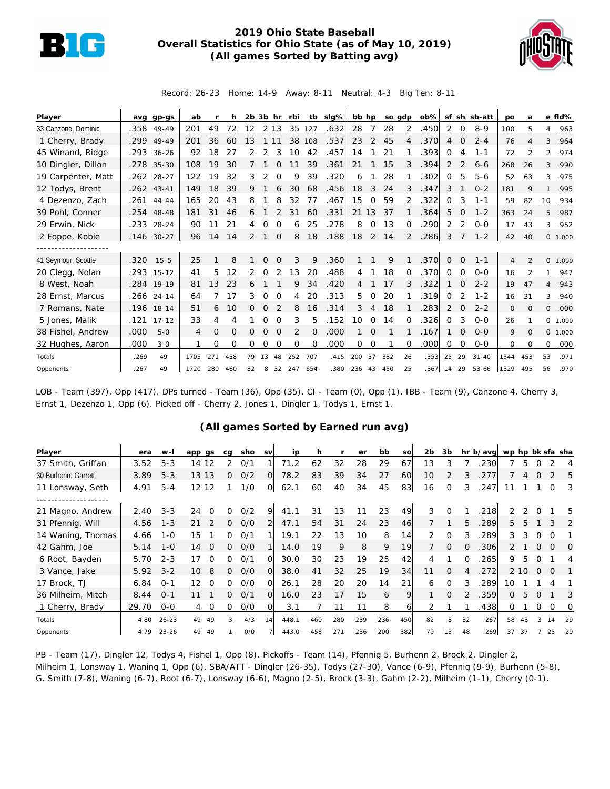

## **2019 Ohio State Baseball Overall Statistics for Ohio State (as of May 10, 2019) (All games Sorted by Batting avg)**



Record: 26-23 Home: 14-9 Away: 8-11 Neutral: 4-3 Big Ten: 8-11

| Player              |      | avg gp-gs    | ab   |     | h.  |    |          |          | 2b 3b hr rbi |          | tb sig% |            |                | bb hp so gdp |                |            |          |                | ob% sf sh sb-att | po             | a              |                | e fld%  |
|---------------------|------|--------------|------|-----|-----|----|----------|----------|--------------|----------|---------|------------|----------------|--------------|----------------|------------|----------|----------------|------------------|----------------|----------------|----------------|---------|
| 33 Canzone, Dominic |      | .358 49-49   | 201  | 49  | 72  | 12 |          | 2 1 3    | 35           | 127      | .632    | 28         | $\overline{7}$ | 28           | 2              | .450       | 2        | $\circ$        | $8 - 9$          | 100            | 5              |                | 4.963   |
| 1 Cherry, Brady     | .299 | 49-49        | 201  | 36  | 60  | 13 |          |          | 38           | 108      | .537    | 23         | 2              | 45           | 4              | .370       | 4        | $\Omega$       | $2 - 4$          | 76             | $\overline{4}$ |                | 3 .964  |
| 45 Winand, Ridge    |      | .293 36-26   | 92   | 18  | 27  |    | 2        | 3        | 10           | 42       | .457    | 14         |                | 21           |                | .393       | $\Omega$ | 4              | $1 - 1$          | 72             | 2              |                | 2 .974  |
| 10 Dingler, Dillon  |      | .278 35-30   | 108  | 19  | 30  |    |          |          |              | 39       | .361    | 21         |                | 15           | 3              | .394       | 2        | $\mathcal{P}$  | $6 - 6$          | 268            | 26             | $\mathcal{E}$  | .990    |
| 19 Carpenter, Matt  |      | .262 28-27   | 122  | 19  | 32  | 3  | 2        | $\Omega$ | 9            | 39       | .320    | 6          |                | 28           |                | .302       | $\Omega$ | 5              | $5-6$            | 52             | 63             |                | 3 .975  |
| 12 Todys, Brent     |      | $.262$ 43-41 | 149  | 18  | 39  | 9  |          | 6        | 30           | 68       | .456    | 18         | 3              | 24           | 3              | .347       | 3        |                | $0 - 2$          | 181            | 9              |                | 1 .995  |
| 4 Dezenzo, Zach     |      | $.261$ 44-44 | 165  | 20  | 43  | 8  |          | 8        | 32           | 77       | .467    | 15         | $\Omega$       | 59           |                | .322       | $\Omega$ | 3              | $1 - 1$          | 59             | 82             | 10             | .934    |
| 39 Pohl, Conner     |      | .254 48-48   | 181  | 31  | 46  | 6  |          |          | 31           | 60       | .331    | 21 13      |                | 37           |                | .364       | 5        | $\Omega$       | $1 - 2$          | 363            | 24             |                | 5 .987  |
| 29 Erwin, Nick      | .233 | $28 - 24$    | 90   | 11  | 21  | 4  |          | $\Omega$ | 6            | 25       | .278    | 8          | $\Omega$       | 13           | $\Omega$       | .290       | 2        | 2              | $0 - 0$          | 17             | 43             |                | 3 .952  |
| 2 Foppe, Kobie      | .146 | $30 - 27$    | 96   | 14  | 14  | 2  |          | $\Omega$ | 8            | 18       | .188    | 18         | 2              | 14           | $\overline{2}$ | .286       | 3        |                | $1 - 2$          | 42             | 40             |                | 0 1.000 |
|                     |      |              |      |     |     |    |          |          |              |          |         |            |                |              |                |            |          |                |                  |                |                |                |         |
| 41 Seymour, Scottie | .320 | $15 - 5$     | 25   |     | 8   |    | $\Omega$ | $\Omega$ | 3            | 9        | .360    |            |                | 9            |                | .370       | $\Omega$ | $\Omega$       | $1 - 1$          | $\overline{4}$ | $\mathfrak{D}$ |                | 0 1.000 |
| 20 Clegg, Nolan     |      | .293 15-12   | 41   | 5   | 12  | 2  | 0        | 2        | 13           | 20       | .488    | 4          |                | 18           | $\Omega$       | .370       | $\Omega$ | $\mathbf 0$    | $0 - 0$          | 16             | 2              |                | 1.947   |
| 8 West, Noah        |      | .284 19-19   | 81   | 13  | 23  |    |          |          | 9            | 34       | .420    | 4          |                | 17           |                | .322       |          | 0              | $2 - 2$          | 19             | 47             | $\overline{4}$ | .943    |
| 28 Ernst, Marcus    |      | $.266$ 24-14 | 64   |     | 17  | 3  | $\Omega$ | $\Omega$ | 4            | 20       | .313    | 5          | $\Omega$       | 20           |                | .319       | $\Omega$ | $\overline{2}$ | $1 - 2$          | 16             | 31             |                | 3 .940  |
| 7 Romans, Nate      |      | .196 18-14   | 51   | 6   | 10  | 0  | $\Omega$ | 2        | 8            | 16       | .314    | 3          | 4              | 18           |                | .283       | 2        | $\Omega$       | $2 - 2$          | 0              | $\Omega$       | $\circ$        | .000    |
| 5 Jones, Malik      | .121 | $17 - 12$    | 33   | 4   | 4   |    | Ω        | $\Omega$ | 3            | 5        | .152    | 10         | $\mathbf 0$    | 14           | $\Omega$       | .326       | $\Omega$ | 3              | $0 - 0$          | 26             |                |                | 0 1.000 |
| 38 Fishel, Andrew   | .000 | $5 - 0$      | 4    | 0   | O   | 0  | $\Omega$ | $\Omega$ | 2            | $\Omega$ | .000    |            | $\Omega$       |              |                | .167       |          | 0              | $O - O$          | 9              | $\Omega$       |                | 0 1.000 |
| 32 Hughes, Aaron    | .000 | $3 - 0$      |      | 0   | O   | 0  | 0        | $\Omega$ | $\Omega$     | $\Omega$ | .000    | 0          | 0              |              | $\Omega$       | .000       | $\Omega$ | $\Omega$       | $0 - 0$          | 0              | $\Omega$       | 0              | .000    |
| Totals              | .269 | 49           | 1705 | 271 | 458 | 79 | 13       | 48       | 252          | 707      | .415    | 200        | 37             | 382          | 26             | .353       | 25       | 29             | $31 - 40$        | 1344           | 453            | 53             | .971    |
| Opponents           | .267 | 49           | 1720 | 280 | 460 | 82 | 8        |          | 32 247       | 654      | .380    | 236 43 450 |                |              | 25             | .367 14 29 |          |                | 53-66            | 1329           | 495            | 56             | .970    |

LOB - Team (397), Opp (417). DPs turned - Team (36), Opp (35). CI - Team (0), Opp (1). IBB - Team (9), Canzone 4, Cherry 3, Ernst 1, Dezenzo 1, Opp (6). Picked off - Cherry 2, Jones 1, Dingler 1, Todys 1, Ernst 1.

## **(All games Sorted by Earned run avg)**

| Player              | era   | w-l       | app gs                        | ca       | sho | <b>SV</b>      | ip    |     |     | er  | bb  | SO  | 2 <sub>b</sub> | 3b       |          | hr b/avg wp hp bk sfa sha |    |      |              |          |          |
|---------------------|-------|-----------|-------------------------------|----------|-----|----------------|-------|-----|-----|-----|-----|-----|----------------|----------|----------|---------------------------|----|------|--------------|----------|----------|
| 37 Smith, Griffan   | 3.52  | $5 - 3$   | 12<br>14                      | 2        | O/1 |                | 71.2  | 62  | 32  | 28  | 29  | 67  | 13             | 3        |          | 230                       |    | 5    | O            |          | 4        |
| 30 Burhenn, Garrett | 3.89  | $5 - 3$   | 13 13                         | Ω        | O/2 | $\overline{O}$ | 78.2  | 83  | 39  | 34  | 27  | 60  | 10             | 2        | 3        | 277                       |    |      | O            |          | 5        |
| 11 Lonsway, Seth    | 4.91  | $5 - 4$   | 12 12                         |          | 1/0 | $\circ$        | 62.1  | 60  | 40  | 34  | 45  | 83  | 16             | $\Omega$ | 3        | .247                      | 11 |      |              | 0        | 3        |
|                     |       |           |                               |          |     |                |       |     |     |     |     |     |                |          |          |                           |    |      |              |          |          |
| 21 Magno, Andrew    | 2.40  | $3 - 3$   | 24<br>$\Omega$                | 0        | O/2 | 9              | 41.1  | 31  | 13  |     | 23  | 49  | 3              | $\Omega$ |          | 218                       | つ  | 2    |              |          | 5        |
| 31 Pfennig, Will    | 4.56  | $1 - 3$   | 21                            | 0        | 0/0 |                | 47.1  | 54  | 31  | 24  | 23  | 46  |                |          | 5.       | .289                      | 5. | 5    |              | 3        | 2        |
| 14 Waning, Thomas   | 4.66  | $1 - 0$   | 15                            | 0        | O/1 |                | 19.1  | 22  | 13  | 10  | 8   | 14  | $\overline{2}$ | $\Omega$ |          | .289                      | 3. | 3    | 0            | $\Omega$ |          |
| 42 Gahm, Joe        | 5.14  | $1 - 0$   | $\Omega$<br>14                | $\Omega$ | 0/0 |                | 14.0  | 19  | 9   | 8   | 9   | 19  |                | $\Omega$ | $\Omega$ | 306                       | 2. |      | <sup>o</sup> | $\Omega$ | $\Omega$ |
| 6 Root, Bayden      | 5.70  | $2 - 3$   | 17<br>$\Omega$                | ∩        | O/1 | $\Omega$       | 30.0  | 30  | 23  | 19  | 25  | 42  | 4              |          | $\Omega$ | 265                       | 9  | 5    |              |          | 4        |
| 3 Vance, Jake       | 5.92  | $3 - 2$   | 10 <sup>1</sup><br>8          | 0        | 0/0 | $\Omega$       | 38.0  | 41  | 32  | 25  | 19  | 34  | 11             | $\Omega$ |          | .272                      |    | 2 10 | $\Omega$     | $\Omega$ |          |
| 17 Brock, TJ        | 6.84  | $0 - 1$   | $12 \overline{ }$<br>$\Omega$ | 0        | 0/0 | $\Omega$       | 26.1  | 28  | 20  | 20  | 14  | 21  | 6              | $\Omega$ | 3        | 289                       | 10 |      |              |          |          |
| 36 Milheim, Mitch   | 8.44  | $O - 1$   | 11                            | 0        | O/1 | $\Omega$       | 16.0  | 23  | 17  | 15  | 6   | 9   |                | $\Omega$ |          | .359                      | 0  | 5    | $\Omega$     |          | 3        |
| 1 Cherry, Brady     | 29.70 | $0 - 0$   | $\overline{0}$<br>4           | 0        | 0/0 | ΩI             | 3.1   |     | 11  |     | 8   | 6   |                |          |          | .438                      | 0  |      | 0            | 0        | 0        |
| Totals              | 4.80  | $26 - 23$ | 49<br>49                      | 3        | 4/3 | 14             | 448.1 | 460 | 280 | 239 | 236 | 450 | 82             | 8        | 32       | .267                      | 58 | 43   | 3            | 14       | 29       |
| Opponents           | 4.79  | $23 - 26$ | 49<br>49                      |          | O/O |                | 443.0 | 458 | 271 | 236 | 200 | 382 | 79             | 13       | 48       | .269                      | 37 | 37   |              | 25       | 29       |

PB - Team (17), Dingler 12, Todys 4, Fishel 1, Opp (8). Pickoffs - Team (14), Pfennig 5, Burhenn 2, Brock 2, Dingler 2, Milheim 1, Lonsway 1, Waning 1, Opp (6). SBA/ATT - Dingler (26-35), Todys (27-30), Vance (6-9), Pfennig (9-9), Burhenn (5-8), G. Smith (7-8), Waning (6-7), Root (6-7), Lonsway (6-6), Magno (2-5), Brock (3-3), Gahm (2-2), Milheim (1-1), Cherry (0-1).